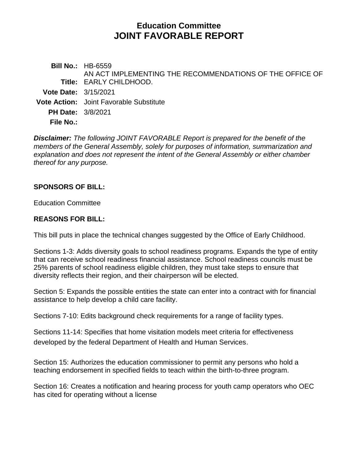# **Education Committee JOINT FAVORABLE REPORT**

**Bill No.:** HB-6559 **Title:** EARLY CHILDHOOD. AN ACT IMPLEMENTING THE RECOMMENDATIONS OF THE OFFICE OF **Vote Date:** 3/15/2021 **Vote Action:** Joint Favorable Substitute **PH Date:** 3/8/2021 **File No.:**

*Disclaimer: The following JOINT FAVORABLE Report is prepared for the benefit of the members of the General Assembly, solely for purposes of information, summarization and explanation and does not represent the intent of the General Assembly or either chamber thereof for any purpose.*

### **SPONSORS OF BILL:**

Education Committee

#### **REASONS FOR BILL:**

This bill puts in place the technical changes suggested by the Office of Early Childhood.

Sections 1-3: Adds diversity goals to school readiness programs. Expands the type of entity that can receive school readiness financial assistance. School readiness councils must be 25% parents of school readiness eligible children, they must take steps to ensure that diversity reflects their region, and their chairperson will be elected.

Section 5: Expands the possible entities the state can enter into a contract with for financial assistance to help develop a child care facility.

Sections 7-10: Edits background check requirements for a range of facility types.

Sections 11-14: Specifies that home visitation models meet criteria for effectiveness developed by the federal Department of Health and Human Services.

Section 15: Authorizes the education commissioner to permit any persons who hold a teaching endorsement in specified fields to teach within the birth-to-three program.

Section 16: Creates a notification and hearing process for youth camp operators who OEC has cited for operating without a license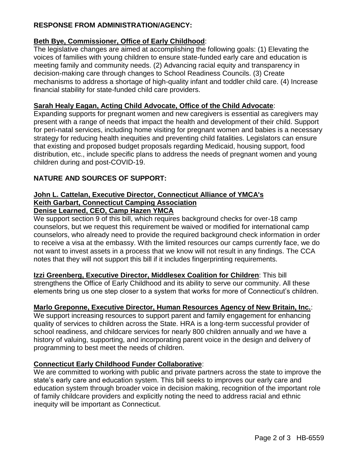# **RESPONSE FROM ADMINISTRATION/AGENCY:**

# **Beth Bye, Commissioner, Office of Early Childhood**:

The legislative changes are aimed at accomplishing the following goals: (1) Elevating the voices of families with young children to ensure state-funded early care and education is meeting family and community needs. (2) Advancing racial equity and transparency in decision-making care through changes to School Readiness Councils. (3) Create mechanisms to address a shortage of high-quality infant and toddler child care. (4) Increase financial stability for state-funded child care providers.

# **Sarah Healy Eagan, Acting Child Advocate, Office of the Child Advocate**:

Expanding supports for pregnant women and new caregivers is essential as caregivers may present with a range of needs that impact the health and development of their child. Support for peri-natal services, including home visiting for pregnant women and babies is a necessary strategy for reducing health inequities and preventing child fatalities. Legislators can ensure that existing and proposed budget proposals regarding Medicaid, housing support, food distribution, etc., include specific plans to address the needs of pregnant women and young children during and post-COVID-19.

# **NATURE AND SOURCES OF SUPPORT:**

#### **John L. Cattelan, Executive Director, Connecticut Alliance of YMCA's Keith Garbart, Connecticut Camping Association Denise Learned, CEO, Camp Hazen YMCA**

We support section 9 of this bill, which requires background checks for over-18 camp counselors, but we request this requirement be waived or modified for international camp counselors, who already need to provide the required background check information in order to receive a visa at the embassy. With the limited resources our camps currently face, we do not want to invest assets in a process that we know will not result in any findings. The CCA notes that they will not support this bill if it includes fingerprinting requirements.

**Izzi Greenberg, Executive Director, Middlesex Coalition for Children**: This bill strengthens the Office of Early Childhood and its ability to serve our community. All these elements bring us one step closer to a system that works for more of Connecticut's children.

# **Marlo Greponne, Executive Director, Human Resources Agency of New Britain, Inc.**:

We support increasing resources to support parent and family engagement for enhancing quality of services to children across the State. HRA is a long-term successful provider of school readiness, and childcare services for nearly 800 children annually and we have a history of valuing, supporting, and incorporating parent voice in the design and delivery of programming to best meet the needs of children.

# **Connecticut Early Childhood Funder Collaborative**:

We are committed to working with public and private partners across the state to improve the state's early care and education system. This bill seeks to improves our early care and education system through broader voice in decision making, recognition of the important role of family childcare providers and explicitly noting the need to address racial and ethnic inequity will be important as Connecticut.